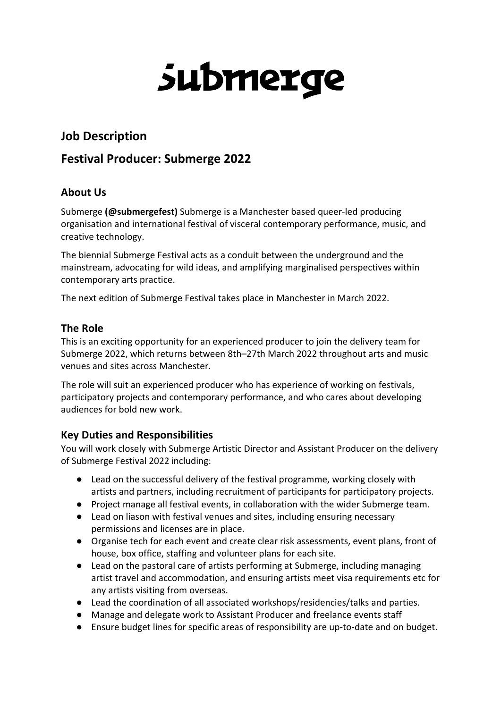# submerge

# **Job Description**

# **Festival Producer: Submerge 2022**

# **About Us**

Submerge **(@submergefest)** Submerge is a Manchester based queer-led producing organisation and international festival of visceral contemporary performance, music, and creative technology.

The biennial Submerge Festival acts as a conduit between the underground and the mainstream, advocating for wild ideas, and amplifying marginalised perspectives within contemporary arts practice.

The next edition of Submerge Festival takes place in Manchester in March 2022.

## **The Role**

This is an exciting opportunity for an experienced producer to join the delivery team for Submerge 2022, which returns between 8th–27th March 2022 throughout arts and music venues and sites across Manchester.

The role will suit an experienced producer who has experience of working on festivals, participatory projects and contemporary performance, and who cares about developing audiences for bold new work.

## **Key Duties and Responsibilities**

You will work closely with Submerge Artistic Director and Assistant Producer on the delivery of Submerge Festival 2022 including:

- Lead on the successful delivery of the festival programme, working closely with artists and partners, including recruitment of participants for participatory projects.
- Project manage all festival events, in collaboration with the wider Submerge team.
- Lead on liason with festival venues and sites, including ensuring necessary permissions and licenses are in place.
- Organise tech for each event and create clear risk assessments, event plans, front of house, box office, staffing and volunteer plans for each site.
- Lead on the pastoral care of artists performing at Submerge, including managing artist travel and accommodation, and ensuring artists meet visa requirements etc for any artists visiting from overseas.
- Lead the coordination of all associated workshops/residencies/talks and parties.
- Manage and delegate work to Assistant Producer and freelance events staff
- Ensure budget lines for specific areas of responsibility are up-to-date and on budget.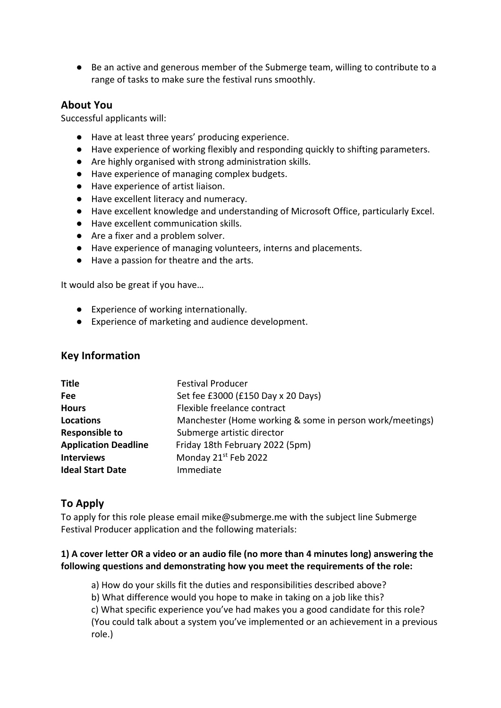● Be an active and generous member of the Submerge team, willing to contribute to a range of tasks to make sure the festival runs smoothly.

#### **About You**

Successful applicants will:

- Have at least three years' producing experience.
- Have experience of working flexibly and responding quickly to shifting parameters.
- Are highly organised with strong administration skills.
- Have experience of managing complex budgets.
- Have experience of artist liaison.
- Have excellent literacy and numeracy.
- Have excellent knowledge and understanding of Microsoft Office, particularly Excel.
- Have excellent communication skills.
- Are a fixer and a problem solver.
- Have experience of managing volunteers, interns and placements.
- Have a passion for theatre and the arts.

It would also be great if you have…

- Experience of working internationally.
- Experience of marketing and audience development.

#### **Key Information**

| <b>Title</b>                | <b>Festival Producer</b>                                 |
|-----------------------------|----------------------------------------------------------|
| Fee                         | Set fee £3000 (£150 Day x 20 Days)                       |
| <b>Hours</b>                | Flexible freelance contract                              |
| <b>Locations</b>            | Manchester (Home working & some in person work/meetings) |
| <b>Responsible to</b>       | Submerge artistic director                               |
| <b>Application Deadline</b> | Friday 18th February 2022 (5pm)                          |
| <b>Interviews</b>           | Monday 21st Feb 2022                                     |
| <b>Ideal Start Date</b>     | Immediate                                                |

#### **To Apply**

To apply for this role please email mike@submerge.me with the subject line Submerge Festival Producer application and the following materials:

#### **1) A cover letter OR a video or an audio file (no more than 4 minutes long) answering the following questions and demonstrating how you meet the requirements of the role:**

a) How do your skills fit the duties and responsibilities described above? b) What difference would you hope to make in taking on a job like this? c) What specific experience you've had makes you a good candidate for this role? (You could talk about a system you've implemented or an achievement in a previous role.)